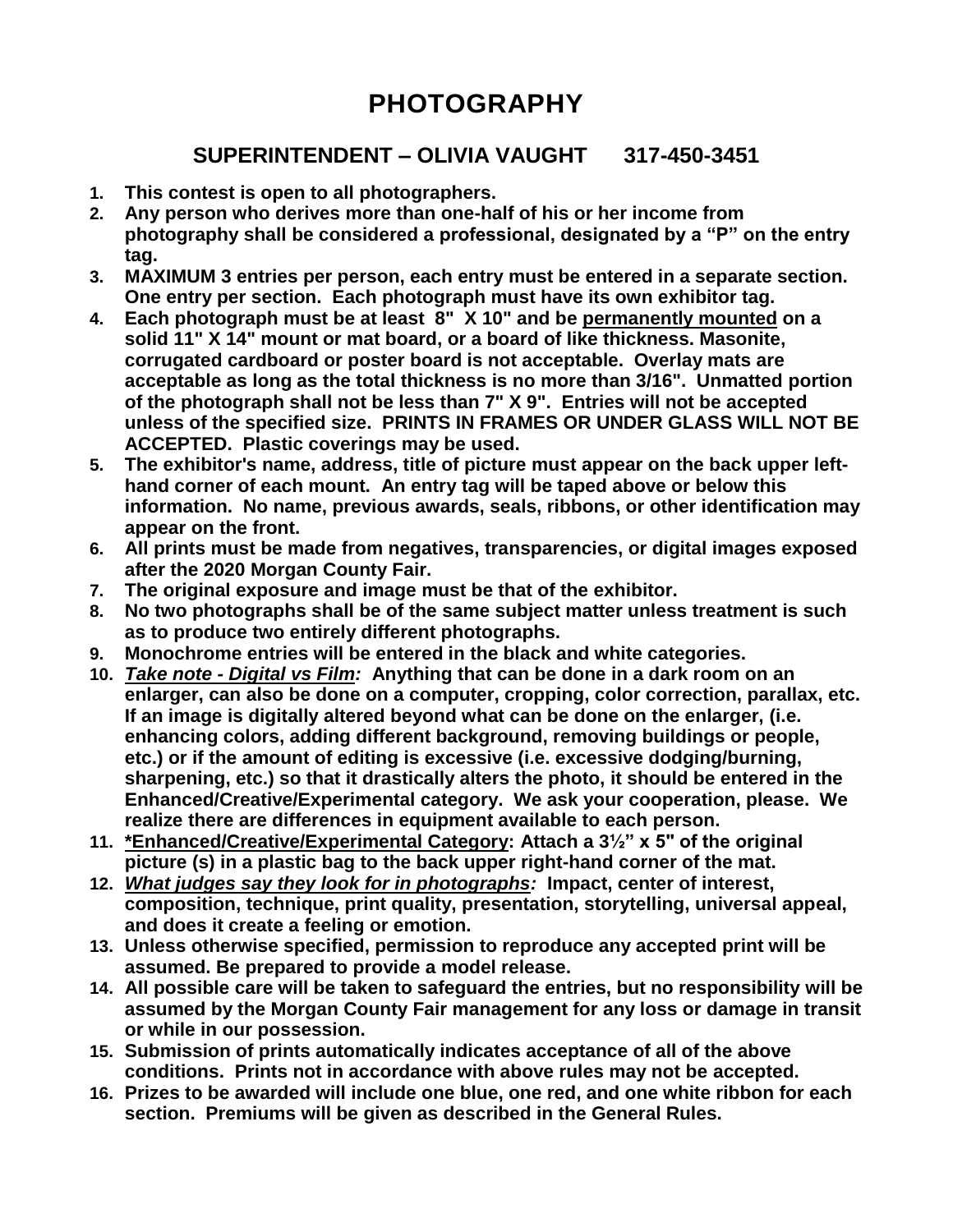# **PHOTOGRAPHY**

# **SUPERINTENDENT – OLIVIA VAUGHT 317-450-3451**

- **1. This contest is open to all photographers.**
- **2. Any person who derives more than one-half of his or her income from photography shall be considered a professional, designated by a "P" on the entry tag.**
- **3. MAXIMUM 3 entries per person, each entry must be entered in a separate section. One entry per section. Each photograph must have its own exhibitor tag.**
- **4. Each photograph must be at least 8" X 10" and be permanently mounted on a solid 11" X 14" mount or mat board, or a board of like thickness. Masonite, corrugated cardboard or poster board is not acceptable. Overlay mats are acceptable as long as the total thickness is no more than 3/16". Unmatted portion of the photograph shall not be less than 7" X 9". Entries will not be accepted unless of the specified size. PRINTS IN FRAMES OR UNDER GLASS WILL NOT BE ACCEPTED. Plastic coverings may be used.**
- **5. The exhibitor's name, address, title of picture must appear on the back upper lefthand corner of each mount. An entry tag will be taped above or below this information. No name, previous awards, seals, ribbons, or other identification may appear on the front.**
- **6. All prints must be made from negatives, transparencies, or digital images exposed after the 2020 Morgan County Fair.**
- **7. The original exposure and image must be that of the exhibitor.**
- **8. No two photographs shall be of the same subject matter unless treatment is such as to produce two entirely different photographs.**
- **9. Monochrome entries will be entered in the black and white categories.**
- **10.** *Take note - Digital vs Film:* **Anything that can be done in a dark room on an enlarger, can also be done on a computer, cropping, color correction, parallax, etc. If an image is digitally altered beyond what can be done on the enlarger, (i.e. enhancing colors, adding different background, removing buildings or people, etc.) or if the amount of editing is excessive (i.e. excessive dodging/burning, sharpening, etc.) so that it drastically alters the photo, it should be entered in the Enhanced/Creative/Experimental category. We ask your cooperation, please. We realize there are differences in equipment available to each person.**
- **11. \*Enhanced/Creative/Experimental Category: Attach a 3½" x 5" of the original picture (s) in a plastic bag to the back upper right-hand corner of the mat.**
- **12.** *What judges say they look for in photographs:* **Impact, center of interest, composition, technique, print quality, presentation, storytelling, universal appeal, and does it create a feeling or emotion.**
- **13. Unless otherwise specified, permission to reproduce any accepted print will be assumed. Be prepared to provide a model release.**
- **14. All possible care will be taken to safeguard the entries, but no responsibility will be assumed by the Morgan County Fair management for any loss or damage in transit or while in our possession.**
- **15. Submission of prints automatically indicates acceptance of all of the above conditions. Prints not in accordance with above rules may not be accepted.**
- **16. Prizes to be awarded will include one blue, one red, and one white ribbon for each section. Premiums will be given as described in the General Rules.**